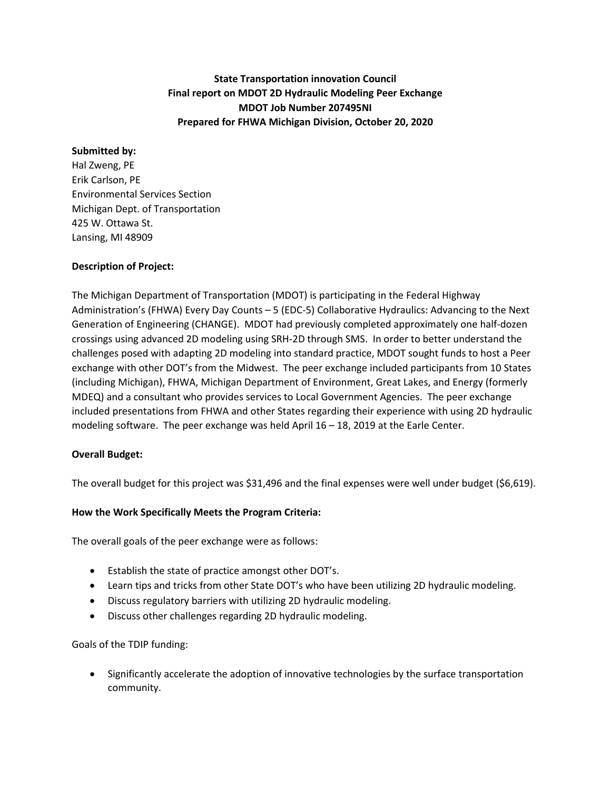# **State Transportation innovation Council Final report on MDOT 2D Hydraulic Modeling Peer Exchange MDOT Job Number 207495NI Prepared for FHWA Michigan Division, October 20, 2020**

### **Submitted by:**

Hal Zweng, PE Erik Carlson, PE Environmental Services Section Michigan Dept. of Transportation 425 W. Ottawa St. Lansing, MI 48909

### **Description of Project:**

The Michigan Department of Transportation (MDOT) is participating in the Federal Highway Administration's (FHWA) Every Day Counts – 5 (EDC-5) Collaborative Hydraulics: Advancing to the Next Generation of Engineering (CHANGE). MDOT had previously completed approximately one half-dozen crossings using advanced 2D modeling using SRH-2D through SMS. In order to better understand the challenges posed with adapting 2D modeling into standard practice, MDOT sought funds to host a Peer exchange with other DOT's from the Midwest. The peer exchange included participants from 10 States (including Michigan), FHWA, Michigan Department of Environment, Great Lakes, and Energy (formerly MDEQ) and a consultant who provides services to Local Government Agencies. The peer exchange included presentations from FHWA and other States regarding their experience with using 2D hydraulic modeling software. The peer exchange was held April 16 – 18, 2019 at the Earle Center.

### **Overall Budget:**

The overall budget for this project was \$31,496 and the final expenses were well under budget (\$6,619).

### **How the Work Specifically Meets the Program Criteria:**

The overall goals of the peer exchange were as follows:

- Establish the state of practice amongst other DOT's.
- Learn tips and tricks from other State DOT's who have been utilizing 2D hydraulic modeling.
- Discuss regulatory barriers with utilizing 2D hydraulic modeling.
- Discuss other challenges regarding 2D hydraulic modeling.

### Goals of the TDIP funding:

• Significantly accelerate the adoption of innovative technologies by the surface transportation community.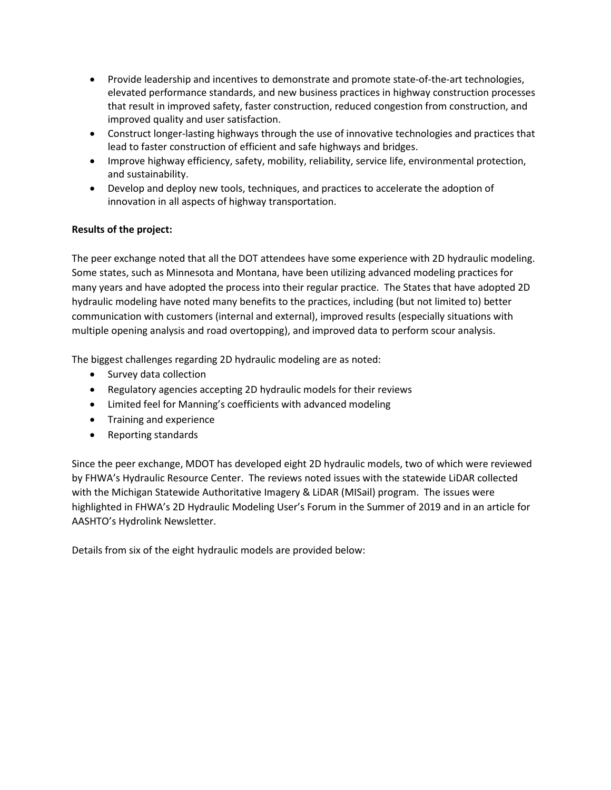- Provide leadership and incentives to demonstrate and promote state-of-the-art technologies, elevated performance standards, and new business practices in highway construction processes that result in improved safety, faster construction, reduced congestion from construction, and improved quality and user satisfaction.
- Construct longer-lasting highways through the use of innovative technologies and practices that lead to faster construction of efficient and safe highways and bridges.
- Improve highway efficiency, safety, mobility, reliability, service life, environmental protection, and sustainability.
- Develop and deploy new tools, techniques, and practices to accelerate the adoption of innovation in all aspects of highway transportation.

## **Results of the project:**

The peer exchange noted that all the DOT attendees have some experience with 2D hydraulic modeling. Some states, such as Minnesota and Montana, have been utilizing advanced modeling practices for many years and have adopted the process into their regular practice. The States that have adopted 2D hydraulic modeling have noted many benefits to the practices, including (but not limited to) better communication with customers (internal and external), improved results (especially situations with multiple opening analysis and road overtopping), and improved data to perform scour analysis.

The biggest challenges regarding 2D hydraulic modeling are as noted:

- Survey data collection
- Regulatory agencies accepting 2D hydraulic models for their reviews
- Limited feel for Manning's coefficients with advanced modeling
- Training and experience
- Reporting standards

Since the peer exchange, MDOT has developed eight 2D hydraulic models, two of which were reviewed by FHWA's Hydraulic Resource Center. The reviews noted issues with the statewide LiDAR collected with the Michigan Statewide Authoritative Imagery & LiDAR (MISail) program. The issues were highlighted in FHWA's 2D Hydraulic Modeling User's Forum in the Summer of 2019 and in an article for AASHTO's Hydrolink Newsletter.

Details from six of the eight hydraulic models are provided below: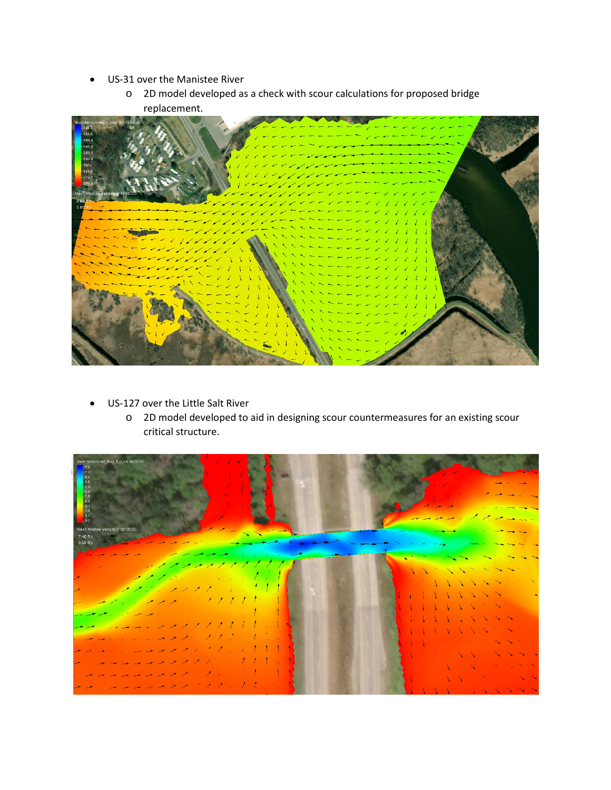- US-31 over the Manistee River
	- o 2D model developed as a check with scour calculations for proposed bridge replacement.



- US-127 over the Little Salt River
	- o 2D model developed to aid in designing scour countermeasures for an existing scour critical structure.

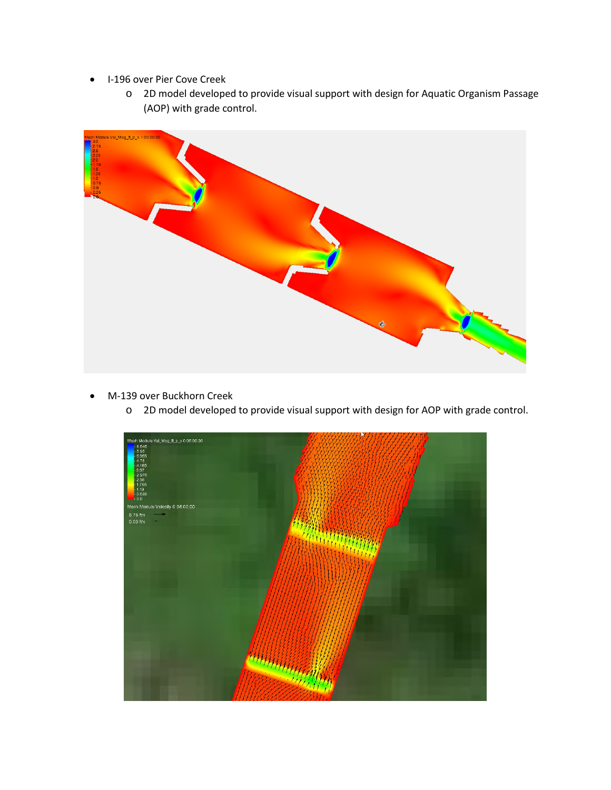- I-196 over Pier Cove Creek
	- o 2D model developed to provide visual support with design for Aquatic Organism Passage (AOP) with grade control.



- M-139 over Buckhorn Creek
	- o 2D model developed to provide visual support with design for AOP with grade control.

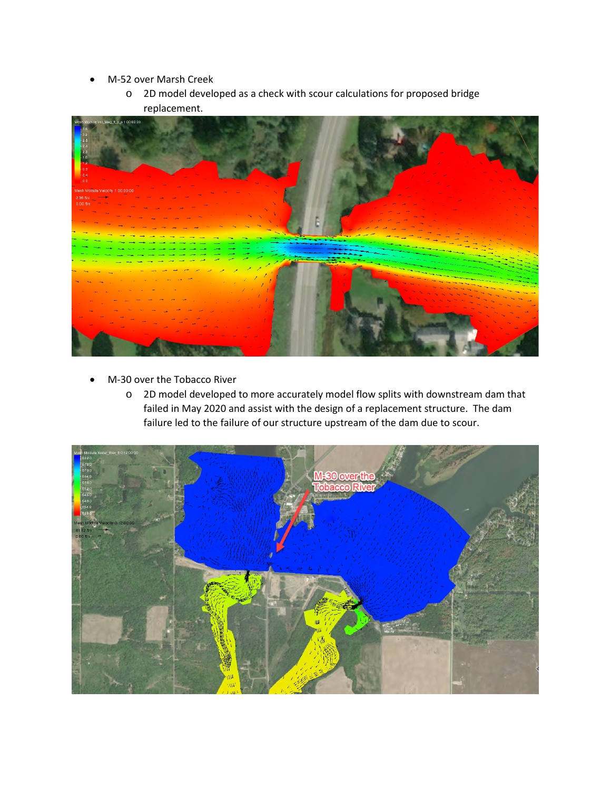- M-52 over Marsh Creek
	- o 2D model developed as a check with scour calculations for proposed bridge replacement.



- M-30 over the Tobacco River
	- o 2D model developed to more accurately model flow splits with downstream dam that failed in May 2020 and assist with the design of a replacement structure. The dam failure led to the failure of our structure upstream of the dam due to scour.

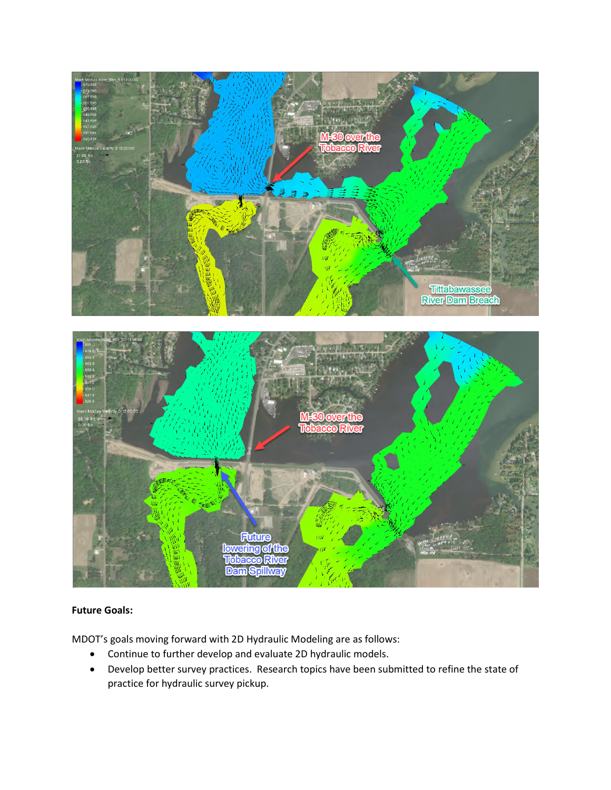

## **Future Goals:**

MDOT's goals moving forward with 2D Hydraulic Modeling are as follows:

- Continue to further develop and evaluate 2D hydraulic models.
- Develop better survey practices. Research topics have been submitted to refine the state of practice for hydraulic survey pickup.